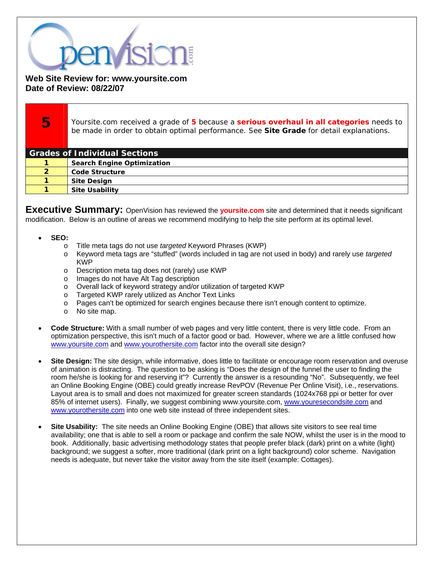

**Web Site Review for: www.yoursite.com Date of Review: 08/22/07** 

Yoursite.com received a grade of **5** because a **serious overhaul in all categories** needs to be made in order to obtain optimal performance. See **Site Grade** for detail explanations. **Grades of Individual Sections**  Search Engine Optimization Code Structure Site Design Site Usability

**Executive Summary:** OpenVision has reviewed the **yoursite.com** site and determined that it needs significant modification. Below is an outline of areas we recommend modifying to help the site perform at its optimal level.

- **SEO:**
	- o Title meta tags do not use *targeted* Keyword Phrases (KWP)
	- o Keyword meta tags are "stuffed" (words included in tag are not used in body) and rarely use *targeted* KWP
	- o Description meta tag does not (rarely) use KWP
	- o Images do not have Alt Tag description
	- o Overall lack of keyword strategy and/or utilization of targeted KWP
	- o Targeted KWP rarely utilized as Anchor Text Links
	- o Pages can't be optimized for search engines because there isn't enough content to optimize.
	- o No site map.
- **Code Structure:** With a small number of web pages and very little content, there is very little code. From an optimization perspective, this isn't much of a factor good or bad. However, where we are a little confused how www.yoursite.com and www.yourothersite.com factor into the overall site design?
- **Site Design:** The site design, while informative, does little to facilitate or encourage room reservation and overuse of animation is distracting. The question to be asking is "Does the design of the funnel the user to finding the room he/she is looking for and reserving it"? Currently the answer is a resounding "No". Subsequently, we feel an Online Booking Engine (OBE) could greatly increase RevPOV (Revenue Per Online Visit), i.e., reservations. Layout area is to small and does not maximized for greater screen standards (1024x768 ppi or better for over 85% of internet users). Finally, we suggest combining www.yoursite.com, www.youresecondsite.com and www.yourothersite.com into one web site instead of three independent sites.
- **Site Usability:** The site needs an Online Booking Engine (OBE) that allows site visitors to see real time availability; one that is able to sell a room or package and confirm the sale NOW, whilst the user is in the mood to book. Additionally, basic advertising methodology states that people prefer black (dark) print on a white (light) background; we suggest a softer, more traditional (dark print on a light background) color scheme. Navigation needs is adequate, but never take the visitor away from the site itself (example: Cottages).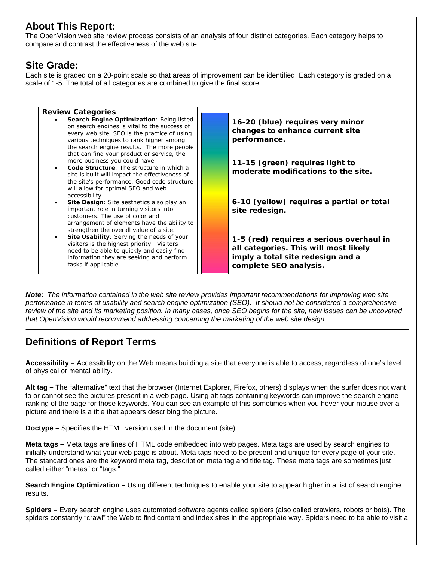## **About This Report:**

The OpenVision web site review process consists of an analysis of four distinct categories. Each category helps to compare and contrast the effectiveness of the web site.

## **Site Grade:**

Each site is graded on a 20-point scale so that areas of improvement can be identified. Each category is graded on a scale of 1-5. The total of all categories are combined to give the final score.



*Note: The information contained in the web site review provides important recommendations for improving web site performance in terms of usability and search engine optimization (SEO). It should not be considered a comprehensive review of the site and its marketing position. In many cases, once SEO begins for the site, new issues can be uncovered that OpenVision would recommend addressing concerning the marketing of the web site design.* 

## **Definitions of Report Terms**

**Accessibility –** Accessibility on the Web means building a site that everyone is able to access, regardless of one's level of physical or mental ability.

**Alt tag –** The "alternative" text that the browser (Internet Explorer, Firefox, others) displays when the surfer does not want to or cannot see the pictures present in a web page. Using alt tags containing keywords can improve the search engine ranking of the page for those keywords. You can see an example of this sometimes when you hover your mouse over a picture and there is a title that appears describing the picture.

**Doctype –** Specifies the HTML version used in the document (site).

**Meta tags –** Meta tags are lines of HTML code embedded into web pages. Meta tags are used by search engines to initially understand what your web page is about. Meta tags need to be present and unique for every page of your site. The standard ones are the keyword meta tag, description meta tag and title tag. These meta tags are sometimes just called either "metas" or "tags."

**Search Engine Optimization –** Using different techniques to enable your site to appear higher in a list of search engine results.

**Spiders –** Every search engine uses automated software agents called spiders (also called crawlers, robots or bots). The spiders constantly "crawl" the Web to find content and index sites in the appropriate way. Spiders need to be able to visit a